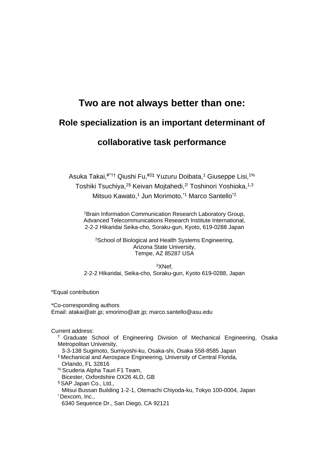# **Two are not always better than one:**

# **Role specialization is an important determinant of**

# **collaborative task performance**

Asuka Takai,#\*1† Qiushi Fu,#2‡ Yuzuru Doibata,<sup>1</sup> Giuseppe Lisi,1% Toshiki Tsuchiya,<sup>2§</sup> Keivan Mojtahedi,<sup>2!</sup> Toshinori Yoshioka,<sup>1,3</sup> Mitsuo Kawato,<sup>1</sup> Jun Morimoto,<sup>\*1</sup> Marco Santello<sup>\*2</sup>

<sup>1</sup>Brain Information Communication Research Laboratory Group, Advanced Telecommunications Research Institute International, 2-2-2 Hikaridai Seika-cho, Soraku-gun, Kyoto, 619-0288 Japan

<sup>2</sup>School of Biological and Health Systems Engineering, Arizona State University, Tempe, AZ 85287 USA

<sup>3</sup>XNef, 2-2-2 Hikaridai, Seika-cho, Soraku-gun, Kyoto 619-0288, Japan

#Equal contribution

\*Co-corresponding authors Email: atakai@atr.jp; xmorimo@atr.jp; marco.santello@asu.edu

Current address:

† Graduate School of Engineering Division of Mechanical Engineering, Osaka Metropolitan University,

3-3-138 Sugimoto, Sumiyoshi-ku, Osaka-shi, Osaka 558-8585 Japan

- ‡ Mechanical and Aerospace Engineering, University of Central Florida, Orlando, FL 32816
- % Scuderia Alpha Tauri F1 Team,
- Bicester, Oxfordshire OX26 4LD, GB
- § SAP Japan Co., Ltd.,

Mitsui Bussan Building 1-2-1, Otemachi Chiyoda-ku, Tokyo 100-0004, Japan ! Dexcom, Inc.,

6340 Sequence Dr., San Diego, CA 92121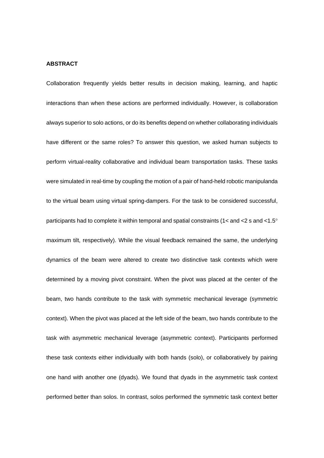## **ABSTRACT**

Collaboration frequently yields better results in decision making, learning, and haptic interactions than when these actions are performed individually. However, is collaboration always superior to solo actions, or do its benefits depend on whether collaborating individuals have different or the same roles? To answer this question, we asked human subjects to perform virtual-reality collaborative and individual beam transportation tasks. These tasks were simulated in real-time by coupling the motion of a pair of hand-held robotic manipulanda to the virtual beam using virtual spring-dampers. For the task to be considered successful, participants had to complete it within temporal and spatial constraints (1< and <2 s and <1.5 $^{\circ}$ maximum tilt, respectively). While the visual feedback remained the same, the underlying dynamics of the beam were altered to create two distinctive task contexts which were determined by a moving pivot constraint. When the pivot was placed at the center of the beam, two hands contribute to the task with symmetric mechanical leverage (symmetric context). When the pivot was placed at the left side of the beam, two hands contribute to the task with asymmetric mechanical leverage (asymmetric context). Participants performed these task contexts either individually with both hands (solo), or collaboratively by pairing one hand with another one (dyads). We found that dyads in the asymmetric task context performed better than solos. In contrast, solos performed the symmetric task context better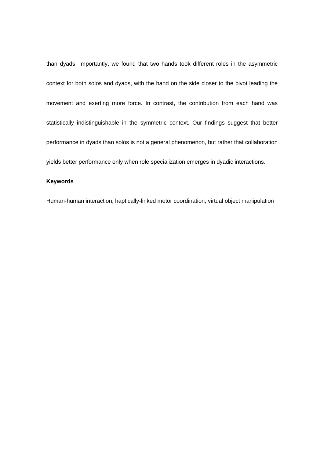than dyads. Importantly, we found that two hands took different roles in the asymmetric context for both solos and dyads, with the hand on the side closer to the pivot leading the movement and exerting more force. In contrast, the contribution from each hand was statistically indistinguishable in the symmetric context. Our findings suggest that better performance in dyads than solos is not a general phenomenon, but rather that collaboration yields better performance only when role specialization emerges in dyadic interactions.

# **Keywords**

Human-human interaction, haptically-linked motor coordination, virtual object manipulation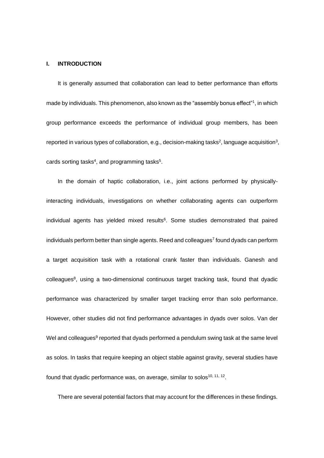#### **I. INTRODUCTION**

It is generally assumed that collaboration can lead to better performance than efforts made by individuals. This phenomenon, also known as the "assembly bonus effect"<sup>1</sup>, in which group performance exceeds the performance of individual group members, has been reported in various types of collaboration, e.g., decision-making tasks<sup>2</sup>, language acquisition<sup>3</sup>, cards sorting tasks<sup>4</sup>, and programming tasks<sup>5</sup>.

In the domain of haptic collaboration, i.e., joint actions performed by physicallyinteracting individuals, investigations on whether collaborating agents can outperform individual agents has yielded mixed results<sup>6</sup>. Some studies demonstrated that paired individuals perform better than single agents. Reed and colleagues<sup>7</sup> found dyads can perform a target acquisition task with a rotational crank faster than individuals. Ganesh and  $colleagues<sup>8</sup>$ , using a two-dimensional continuous target tracking task, found that dyadic performance was characterized by smaller target tracking error than solo performance. However, other studies did not find performance advantages in dyads over solos. Van der Wel and colleagues<sup>9</sup> reported that dyads performed a pendulum swing task at the same level as solos. In tasks that require keeping an object stable against gravity, several studies have found that dyadic performance was, on average, similar to solos<sup>10, 11, 12</sup>.

There are several potential factors that may account for the differences in these findings.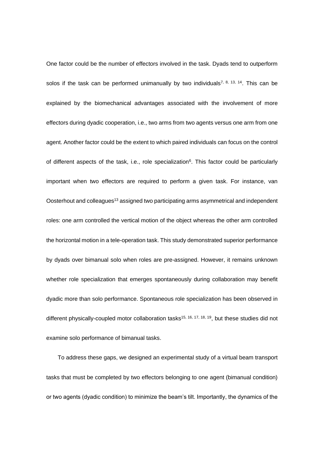One factor could be the number of effectors involved in the task. Dyads tend to outperform solos if the task can be performed unimanually by two individuals<sup>7, 8, 13, 14</sup>. This can be explained by the biomechanical advantages associated with the involvement of more effectors during dyadic cooperation, i.e., two arms from two agents versus one arm from one agent. Another factor could be the extent to which paired individuals can focus on the control of different aspects of the task, i.e., role specialization<sup>6</sup>. This factor could be particularly important when two effectors are required to perform a given task. For instance, van Oosterhout and colleagues<sup>13</sup> assigned two participating arms asymmetrical and independent roles: one arm controlled the vertical motion of the object whereas the other arm controlled the horizontal motion in a tele-operation task. This study demonstrated superior performance by dyads over bimanual solo when roles are pre-assigned. However, it remains unknown whether role specialization that emerges spontaneously during collaboration may benefit dyadic more than solo performance. Spontaneous role specialization has been observed in different physically-coupled motor collaboration tasks<sup>15, 16, 17, 18, 19</sup>, but these studies did not examine solo performance of bimanual tasks.

To address these gaps, we designed an experimental study of a virtual beam transport tasks that must be completed by two effectors belonging to one agent (bimanual condition) or two agents (dyadic condition) to minimize the beam's tilt. Importantly, the dynamics of the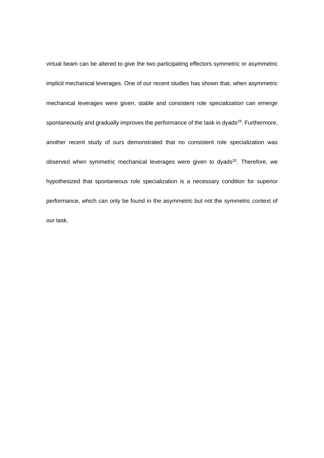virtual beam can be altered to give the two participating effectors symmetric or asymmetric implicit mechanical leverages. One of our recent studies has shown that, when asymmetric mechanical leverages were given, stable and consistent role specialization can emerge spontaneously and gradually improves the performance of the task in dyads<sup>19</sup>. Furthermore, another recent study of ours demonstrated that no consistent role specialization was observed when symmetric mechanical leverages were given to dyads<sup>20</sup>. Therefore, we hypothesized that spontaneous role specialization is a necessary condition for superior performance, which can only be found in the asymmetric but not the symmetric context of our task.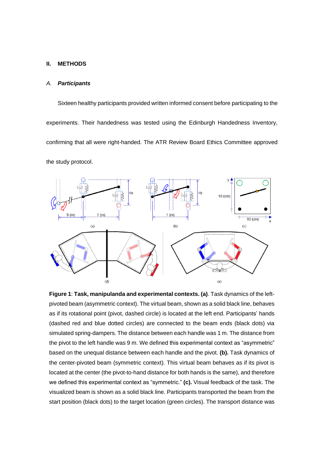#### **II. METHODS**

#### *A. Participants*

Sixteen healthy participants provided written informed consent before participating to the experiments. Their handedness was tested using the Edinburgh Handedness Inventory, confirming that all were right-handed. The ATR Review Board Ethics Committee approved the study protocol.



**Figure 1**: **Task, manipulanda and experimental contexts. (a)**. Task dynamics of the leftpivoted beam (asymmetric context). The virtual beam, shown as a solid black line, behaves as if its rotational point (pivot, dashed circle) is located at the left end. Participants' hands (dashed red and blue dotted circles) are connected to the beam ends (black dots) via simulated spring-dampers. The distance between each handle was 1 m. The distance from the pivot to the left handle was 9 m. We defined this experimental context as "asymmetric" based on the unequal distance between each handle and the pivot. **(b).** Task dynamics of the center-pivoted beam (symmetric context). This virtual beam behaves as if its pivot is located at the center (the pivot-to-hand distance for both hands is the same), and therefore we defined this experimental context as "symmetric." **(c).** Visual feedback of the task. The visualized beam is shown as a solid black line. Participants transported the beam from the start position (black dots) to the target location (green circles). The transport distance was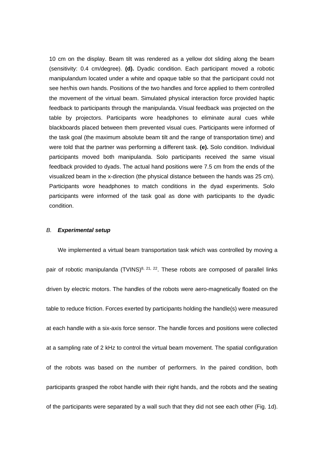10 cm on the display. Beam tilt was rendered as a yellow dot sliding along the beam (sensitivity: 0.4 cm/degree). **(d).** Dyadic condition. Each participant moved a robotic manipulandum located under a white and opaque table so that the participant could not see her/his own hands. Positions of the two handles and force applied to them controlled the movement of the virtual beam. Simulated physical interaction force provided haptic feedback to participants through the manipulanda. Visual feedback was projected on the table by projectors. Participants wore headphones to eliminate aural cues while blackboards placed between them prevented visual cues. Participants were informed of the task goal (the maximum absolute beam tilt and the range of transportation time) and were told that the partner was performing a different task. **(e).** Solo condition. Individual participants moved both manipulanda. Solo participants received the same visual feedback provided to dyads. The actual hand positions were 7.5 cm from the ends of the visualized beam in the x-direction (the physical distance between the hands was 25 cm). Participants wore headphones to match conditions in the dyad experiments. Solo participants were informed of the task goal as done with participants to the dyadic condition.

#### *B. Experimental setup*

We implemented a virtual beam transportation task which was controlled by moving a pair of robotic manipulanda  $(TVINS)^{8, 21, 22}$ . These robots are composed of parallel links driven by electric motors. The handles of the robots were aero-magnetically floated on the table to reduce friction. Forces exerted by participants holding the handle(s) were measured at each handle with a six-axis force sensor. The handle forces and positions were collected at a sampling rate of 2 kHz to control the virtual beam movement. The spatial configuration of the robots was based on the number of performers. In the paired condition, both participants grasped the robot handle with their right hands, and the robots and the seating of the participants were separated by a wall such that they did not see each other (Fig. 1d).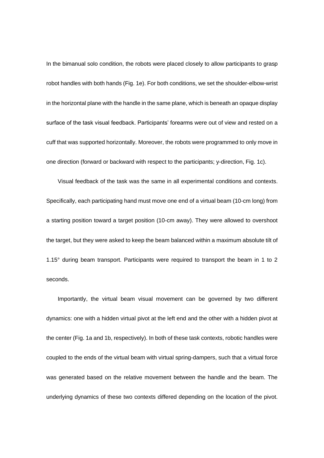In the bimanual solo condition, the robots were placed closely to allow participants to grasp robot handles with both hands (Fig. 1e). For both conditions, we set the shoulder-elbow-wrist in the horizontal plane with the handle in the same plane, which is beneath an opaque display surface of the task visual feedback. Participants' forearms were out of view and rested on a cuff that was supported horizontally. Moreover, the robots were programmed to only move in one direction (forward or backward with respect to the participants; y-direction, Fig. 1c).

Visual feedback of the task was the same in all experimental conditions and contexts. Specifically, each participating hand must move one end of a virtual beam (10-cm long) from a starting position toward a target position (10-cm away). They were allowed to overshoot the target, but they were asked to keep the beam balanced within a maximum absolute tilt of 1.15° during beam transport. Participants were required to transport the beam in 1 to 2 seconds.

Importantly, the virtual beam visual movement can be governed by two different dynamics: one with a hidden virtual pivot at the left end and the other with a hidden pivot at the center (Fig. 1a and 1b, respectively). In both of these task contexts, robotic handles were coupled to the ends of the virtual beam with virtual spring-dampers, such that a virtual force was generated based on the relative movement between the handle and the beam. The underlying dynamics of these two contexts differed depending on the location of the pivot.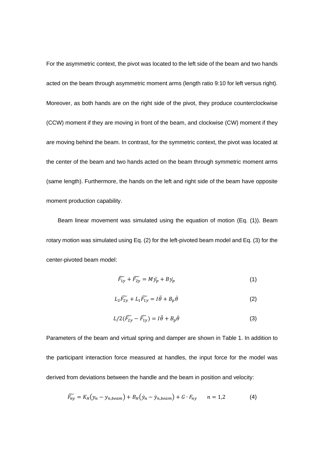For the asymmetric context, the pivot was located to the left side of the beam and two hands acted on the beam through asymmetric moment arms (length ratio 9:10 for left versus right). Moreover, as both hands are on the right side of the pivot, they produce counterclockwise (CCW) moment if they are moving in front of the beam, and clockwise (CW) moment if they are moving behind the beam. In contrast, for the symmetric context, the pivot was located at the center of the beam and two hands acted on the beam through symmetric moment arms (same length). Furthermore, the hands on the left and right side of the beam have opposite moment production capability.

Beam linear movement was simulated using the equation of motion (Eq. (1)). Beam rotary motion was simulated using Eq. (2) for the left-pivoted beam model and Eq. (3) for the center-pivoted beam model:

$$
\widetilde{F_{1y}} + \widetilde{F_{2y}} = M\ddot{y_p} + B\dot{y_p} \tag{1}
$$

$$
L_2\widetilde{F_{2y}} + L_1\widetilde{F_{1y}} = I\ddot{\theta} + B_p\dot{\theta}
$$
 (2)

$$
L/2(\widetilde{F_{2y}} - \widetilde{F_{1y}}) = I\ddot{\theta} + B_p\dot{\theta}
$$
\n(3)

Parameters of the beam and virtual spring and damper are shown in Table 1. In addition to the participant interaction force measured at handles, the input force for the model was derived from deviations between the handle and the beam in position and velocity:

$$
\widetilde{F_{ny}} = K_H(y_n - y_{n,beam}) + B_H(\dot{y}_n - \dot{y}_{n,beam}) + G \cdot F_{ny} \qquad n = 1,2 \tag{4}
$$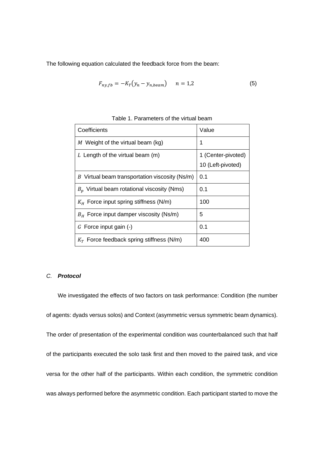The following equation calculated the feedback force from the beam:

$$
F_{ny,fb} = -K_T(y_n - y_{n,beam}) \qquad n = 1.2 \tag{5}
$$

| Coefficients                                   | Value                                   |
|------------------------------------------------|-----------------------------------------|
| M Weight of the virtual beam (kg)              | 1                                       |
| $L$ Length of the virtual beam (m)             | 1 (Center-pivoted)<br>10 (Left-pivoted) |
| B Virtual beam transportation viscosity (Ns/m) | 0.1                                     |
| $B_n$ Virtual beam rotational viscosity (Nms)  | 0.1                                     |
| $K_H$ Force input spring stiffness (N/m)       | 100                                     |
| $B_H$ Force input damper viscosity (Ns/m)      | 5                                       |
| $G$ Force input gain $(-)$                     | 0.1                                     |
| $K_T$ Force feedback spring stiffness (N/m)    | 400                                     |

Table 1. Parameters of the virtual beam

## *C. Protocol*

We investigated the effects of two factors on task performance: Condition (the number of agents: dyads versus solos) and Context (asymmetric versus symmetric beam dynamics). The order of presentation of the experimental condition was counterbalanced such that half of the participants executed the solo task first and then moved to the paired task, and vice versa for the other half of the participants. Within each condition, the symmetric condition was always performed before the asymmetric condition. Each participant started to move the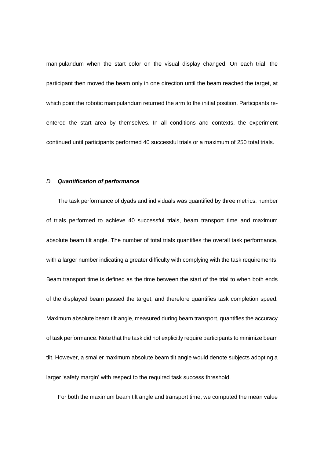manipulandum when the start color on the visual display changed. On each trial, the participant then moved the beam only in one direction until the beam reached the target, at which point the robotic manipulandum returned the arm to the initial position. Participants reentered the start area by themselves. In all conditions and contexts, the experiment continued until participants performed 40 successful trials or a maximum of 250 total trials.

#### *D. Quantification of performance*

The task performance of dyads and individuals was quantified by three metrics: number of trials performed to achieve 40 successful trials, beam transport time and maximum absolute beam tilt angle. The number of total trials quantifies the overall task performance, with a larger number indicating a greater difficulty with complying with the task requirements. Beam transport time is defined as the time between the start of the trial to when both ends of the displayed beam passed the target, and therefore quantifies task completion speed. Maximum absolute beam tilt angle, measured during beam transport, quantifies the accuracy of task performance. Note that the task did not explicitly require participants to minimize beam tilt. However, a smaller maximum absolute beam tilt angle would denote subjects adopting a larger 'safety margin' with respect to the required task success threshold.

For both the maximum beam tilt angle and transport time, we computed the mean value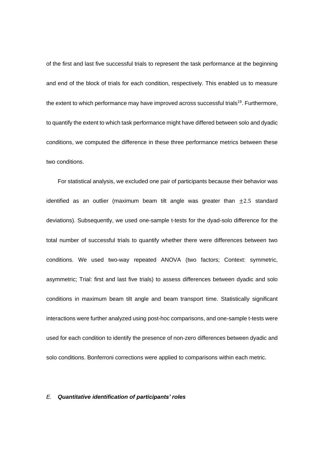of the first and last five successful trials to represent the task performance at the beginning and end of the block of trials for each condition, respectively. This enabled us to measure the extent to which performance may have improved across successful trials<sup>19</sup>. Furthermore, to quantify the extent to which task performance might have differed between solo and dyadic conditions, we computed the difference in these three performance metrics between these two conditions.

For statistical analysis, we excluded one pair of participants because their behavior was identified as an outlier (maximum beam tilt angle was greater than  $\pm 2.5$  standard deviations). Subsequently, we used one-sample t-tests for the dyad-solo difference for the total number of successful trials to quantify whether there were differences between two conditions. We used two-way repeated ANOVA (two factors; Context: symmetric, asymmetric; Trial: first and last five trials) to assess differences between dyadic and solo conditions in maximum beam tilt angle and beam transport time. Statistically significant interactions were further analyzed using post-hoc comparisons, and one-sample t-tests were used for each condition to identify the presence of non-zero differences between dyadic and solo conditions. Bonferroni corrections were applied to comparisons within each metric.

## *E. Quantitative identification of participants' roles*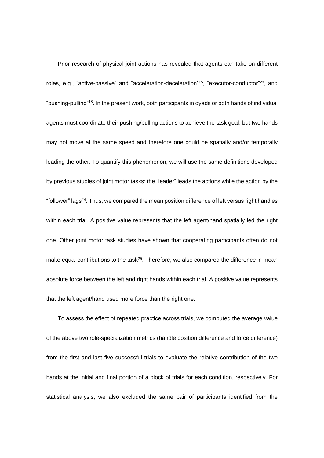Prior research of physical joint actions has revealed that agents can take on different roles, e.g., "active-passive" and "acceleration-deceleration"<sup>15</sup>, "executor-conductor"<sup>23</sup>, and "pushing-pulling"<sup>18</sup>. In the present work, both participants in dyads or both hands of individual agents must coordinate their pushing/pulling actions to achieve the task goal, but two hands may not move at the same speed and therefore one could be spatially and/or temporally leading the other. To quantify this phenomenon, we will use the same definitions developed by previous studies of joint motor tasks: the "leader" leads the actions while the action by the "follower" lags<sup>24</sup>. Thus, we compared the mean position difference of left versus right handles within each trial. A positive value represents that the left agent/hand spatially led the right one. Other joint motor task studies have shown that cooperating participants often do not make equal contributions to the task<sup>25</sup>. Therefore, we also compared the difference in mean absolute force between the left and right hands within each trial. A positive value represents that the left agent/hand used more force than the right one.

To assess the effect of repeated practice across trials, we computed the average value of the above two role-specialization metrics (handle position difference and force difference) from the first and last five successful trials to evaluate the relative contribution of the two hands at the initial and final portion of a block of trials for each condition, respectively. For statistical analysis, we also excluded the same pair of participants identified from the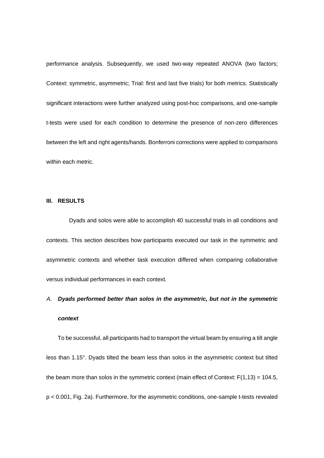performance analysis. Subsequently, we used two-way repeated ANOVA (two factors; Context: symmetric, asymmetric; Trial: first and last five trials) for both metrics. Statistically significant interactions were further analyzed using post-hoc comparisons, and one-sample t-tests were used for each condition to determine the presence of non-zero differences between the left and right agents/hands. Bonferroni corrections were applied to comparisons within each metric.

## **III. RESULTS**

Dyads and solos were able to accomplish 40 successful trials in all conditions and contexts. This section describes how participants executed our task in the symmetric and asymmetric contexts and whether task execution differed when comparing collaborative versus individual performances in each context.

# *A. Dyads performed better than solos in the asymmetric, but not in the symmetric*

#### *context*

To be successful, all participants had to transport the virtual beam by ensuring a tilt angle less than 1.15°. Dyads tilted the beam less than solos in the asymmetric context but tilted the beam more than solos in the symmetric context (main effect of Context:  $F(1,13) = 104.5$ , p < 0.001, Fig. 2a). Furthermore, for the asymmetric conditions, one-sample t-tests revealed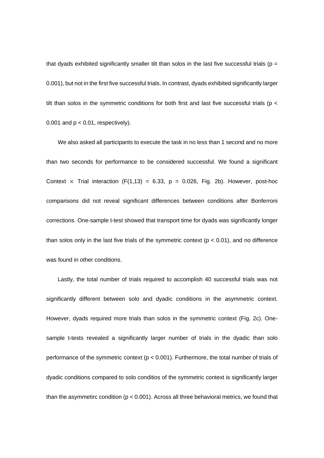that dyads exhibited significantly smaller tilt than solos in the last five successful trials ( $p =$ 0.001), but not in the first five successful trials. In contrast, dyads exhibited significantly larger tilt than solos in the symmetric conditions for both first and last five successful trials (p < 0.001 and  $p < 0.01$ , respectively).

We also asked all participants to execute the task in no less than 1 second and no more than two seconds for performance to be considered successful. We found a significant Context  $\times$  Trial interaction (F(1,13) = 6.33, p = 0.026, Fig. 2b). However, post-hoc comparisons did not reveal significant differences between conditions after Bonferroni corrections. One-sample t-test showed that transport time for dyads was significantly longer than solos only in the last five trials of the symmetric context ( $p < 0.01$ ), and no difference was found in other conditions.

Lastly, the total number of trials required to accomplish 40 successful trials was not significantly different between solo and dyadic conditions in the asymmetric context. However, dyads required more trials than solos in the symmetric context (Fig. 2c). Onesample t-tests revealed a significantly larger number of trials in the dyadic than solo performance of the symmetric context (p < 0.001). Furthermore, the total number of trials of dyadic conditions compared to solo conditios of the symmetric context is significantly larger than the asymmetirc condition ( $p < 0.001$ ). Across all three behavioral metrics, we found that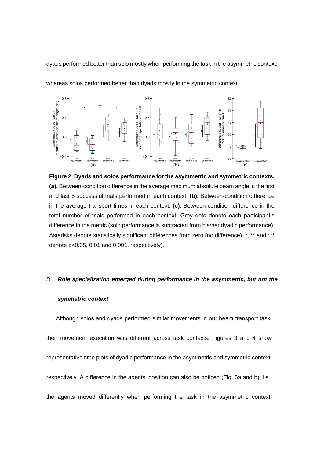dyads performed better than solo mostly when performing the task in the asymmetric context,



whereas solos performed better than dyads mostly in the symmetric context.



#### *B. Role specialization emerged during performance in the asymmetric, but not the*

#### *symmetric context*

Although solos and dyads performed similar movements in our beam transport task, their movement execution was different across task contexts. Figures 3 and 4 show representative time plots of dyadic performance in the asymmetric and symmetric context, respectively. A difference in the agents' position can also be noticed (Fig. 3a and b), i.e., the agents moved differently when performing the task in the asymmetric context.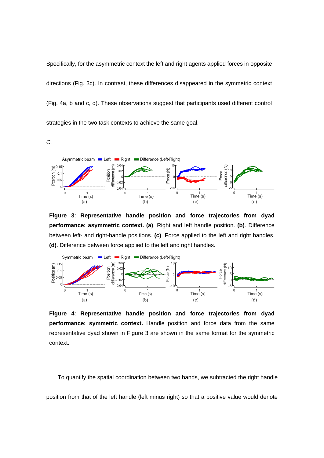Specifically, for the asymmetric context the left and right agents applied forces in opposite directions (Fig. 3c). In contrast, these differences disappeared in the symmetric context (Fig. 4a, b and c, d). These observations suggest that participants used different control strategies in the two task contexts to achieve the same goal.

*C.*



**Figure 3**: **Representative handle position and force trajectories from dyad performance: asymmetric context. (a)**. Right and left handle position. **(b)**. Difference between left- and right-handle positions. **(c)**. Force applied to the left and right handles. **(d)**. Difference between force applied to the left and right handles.



**Figure 4**: **Representative handle position and force trajectories from dyad performance: symmetric context.** Handle position and force data from the same representative dyad shown in Figure 3 are shown in the same format for the symmetric context.

To quantify the spatial coordination between two hands, we subtracted the right handle

position from that of the left handle (left minus right) so that a positive value would denote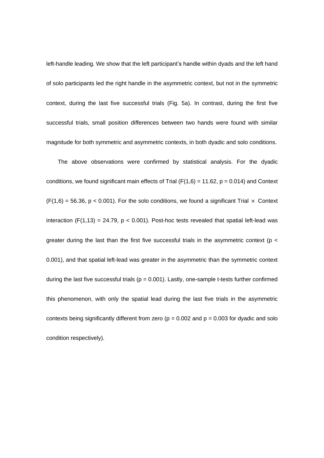left-handle leading. We show that the left participant's handle within dyads and the left hand of solo participants led the right handle in the asymmetric context, but not in the symmetric context, during the last five successful trials (Fig. 5a). In contrast, during the first five successful trials, small position differences between two hands were found with similar magnitude for both symmetric and asymmetric contexts, in both dyadic and solo conditions.

The above observations were confirmed by statistical analysis. For the dyadic conditions, we found significant main effects of Trial ( $F(1,6) = 11.62$ ,  $p = 0.014$ ) and Context  $(F(1,6) = 56.36, p < 0.001)$ . For the solo conditions, we found a significant Trial  $\times$  Context interaction  $(F(1,13) = 24.79, p < 0.001)$ . Post-hoc tests revealed that spatial left-lead was greater during the last than the first five successful trials in the asymmetric context ( $p <$ 0.001), and that spatial left-lead was greater in the asymmetric than the symmetric context during the last five successful trials ( $p = 0.001$ ). Lastly, one-sample t-tests further confirmed this phenomenon, with only the spatial lead during the last five trials in the asymmetric contexts being significantly different from zero ( $p = 0.002$  and  $p = 0.003$  for dyadic and solo condition respectively).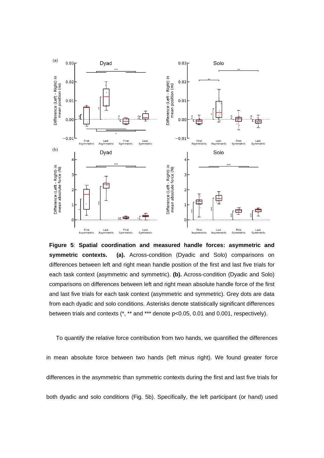

**Figure 5**: **Spatial coordination and measured handle forces: asymmetric and symmetric contexts. (a).** Across-condition (Dyadic and Solo) comparisons on differences between left and right mean handle position of the first and last five trials for each task context (asymmetric and symmetric). **(b).** Across-condition (Dyadic and Solo) comparisons on differences between left and right mean absolute handle force of the first and last five trials for each task context (asymmetric and symmetric). Grey dots are data from each dyadic and solo conditions. Asterisks denote statistically significant differences between trials and contexts (\*, \*\* and \*\*\* denote p<0.05, 0.01 and 0.001, respectively).

To quantify the relative force contribution from two hands, we quantified the differences in mean absolute force between two hands (left minus right). We found greater force differences in the asymmetric than symmetric contexts during the first and last five trials for both dyadic and solo conditions (Fig. 5b). Specifically, the left participant (or hand) used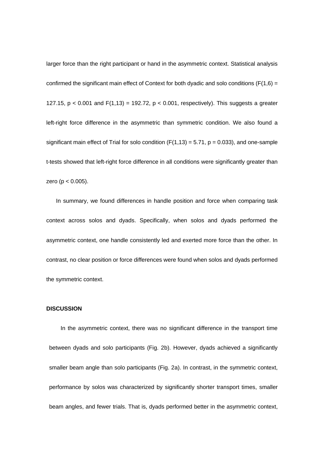larger force than the right participant or hand in the asymmetric context. Statistical analysis confirmed the significant main effect of Context for both dyadic and solo conditions ( $F(1,6) =$ 127.15,  $p < 0.001$  and  $F(1,13) = 192.72$ ,  $p < 0.001$ , respectively). This suggests a greater left-right force difference in the asymmetric than symmetric condition. We also found a significant main effect of Trial for solo condition ( $F(1,13) = 5.71$ ,  $p = 0.033$ ), and one-sample t-tests showed that left-right force difference in all conditions were significantly greater than zero ( $p < 0.005$ ).

In summary, we found differences in handle position and force when comparing task context across solos and dyads. Specifically, when solos and dyads performed the asymmetric context, one handle consistently led and exerted more force than the other. In contrast, no clear position or force differences were found when solos and dyads performed the symmetric context.

#### **DISCUSSION**

In the asymmetric context, there was no significant difference in the transport time between dyads and solo participants (Fig. 2b). However, dyads achieved a significantly smaller beam angle than solo participants (Fig. 2a). In contrast, in the symmetric context, performance by solos was characterized by significantly shorter transport times, smaller beam angles, and fewer trials. That is, dyads performed better in the asymmetric context,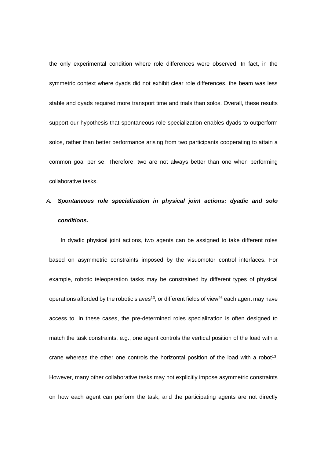the only experimental condition where role differences were observed. In fact, in the symmetric context where dyads did not exhibit clear role differences, the beam was less stable and dyads required more transport time and trials than solos. Overall, these results support our hypothesis that spontaneous role specialization enables dyads to outperform solos, rather than better performance arising from two participants cooperating to attain a common goal per se. Therefore, two are not always better than one when performing collaborative tasks.

# *A. Spontaneous role specialization in physical joint actions: dyadic and solo conditions.*

In dyadic physical joint actions, two agents can be assigned to take different roles based on asymmetric constraints imposed by the visuomotor control interfaces. For example, robotic teleoperation tasks may be constrained by different types of physical operations afforded by the robotic slaves<sup>13</sup>, or different fields of view<sup>26</sup> each agent may have access to. In these cases, the pre-determined roles specialization is often designed to match the task constraints, e.g., one agent controls the vertical position of the load with a crane whereas the other one controls the horizontal position of the load with a robot<sup>13</sup>. However, many other collaborative tasks may not explicitly impose asymmetric constraints on how each agent can perform the task, and the participating agents are not directly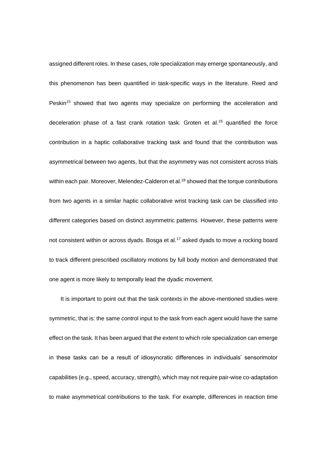assigned different roles. In these cases, role specialization may emerge spontaneously, and this phenomenon has been quantified in task-specific ways in the literature. Reed and Peskin<sup>15</sup> showed that two agents may specialize on performing the acceleration and deceleration phase of a fast crank rotation task. Groten et al.<sup>16</sup> quantified the force contribution in a haptic collaborative tracking task and found that the contribution was asymmetrical between two agents, but that the asymmetry was not consistent across trials within each pair. Moreover, Melendez-Calderon et al.<sup>18</sup> showed that the torque contributions from two agents in a similar haptic collaborative wrist tracking task can be classified into different categories based on distinct asymmetric patterns. However, these patterns were not consistent within or across dyads. Bosga et al.<sup>17</sup> asked dyads to move a rocking board to track different prescribed oscillatory motions by full body motion and demonstrated that one agent is more likely to temporally lead the dyadic movement.

It is important to point out that the task contexts in the above-mentioned studies were symmetric, that is: the same control input to the task from each agent would have the same effect on the task. It has been argued that the extent to which role specialization can emerge in these tasks can be a result of idiosyncratic differences in individuals' sensorimotor capabilities (e.g., speed, accuracy, strength), which may not require pair-wise co-adaptation to make asymmetrical contributions to the task. For example, differences in reaction time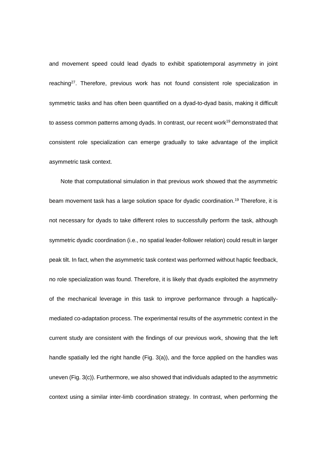and movement speed could lead dyads to exhibit spatiotemporal asymmetry in joint reaching<sup>27</sup>. Therefore, previous work has not found consistent role specialization in symmetric tasks and has often been quantified on a dyad-to-dyad basis, making it difficult to assess common patterns among dyads. In contrast, our recent work<sup>19</sup> demonstrated that consistent role specialization can emerge gradually to take advantage of the implicit asymmetric task context.

Note that computational simulation in that previous work showed that the asymmetric beam movement task has a large solution space for dyadic coordination.<sup>19</sup> Therefore, it is not necessary for dyads to take different roles to successfully perform the task, although symmetric dyadic coordination (i.e., no spatial leader-follower relation) could result in larger peak tilt. In fact, when the asymmetric task context was performed without haptic feedback, no role specialization was found. Therefore, it is likely that dyads exploited the asymmetry of the mechanical leverage in this task to improve performance through a hapticallymediated co-adaptation process. The experimental results of the asymmetric context in the current study are consistent with the findings of our previous work, showing that the left handle spatially led the right handle (Fig. 3(a)), and the force applied on the handles was uneven (Fig. 3(c)). Furthermore, we also showed that individuals adapted to the asymmetric context using a similar inter-limb coordination strategy. In contrast, when performing the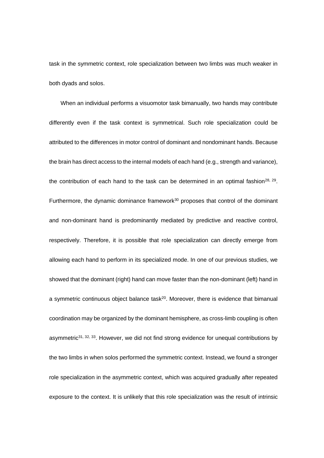task in the symmetric context, role specialization between two limbs was much weaker in both dyads and solos.

When an individual performs a visuomotor task bimanually, two hands may contribute differently even if the task context is symmetrical. Such role specialization could be attributed to the differences in motor control of dominant and nondominant hands. Because the brain has direct access to the internal models of each hand (e.g., strength and variance), the contribution of each hand to the task can be determined in an optimal fashion<sup>28, 29</sup>. Furthermore, the dynamic dominance framework $30$  proposes that control of the dominant and non-dominant hand is predominantly mediated by predictive and reactive control, respectively. Therefore, it is possible that role specialization can directly emerge from allowing each hand to perform in its specialized mode. In one of our previous studies, we showed that the dominant (right) hand can move faster than the non-dominant (left) hand in a symmetric continuous object balance task $20$ . Moreover, there is evidence that bimanual coordination may be organized by the dominant hemisphere, as cross-limb coupling is often asymmetric<sup>31, 32, 33</sup>. However, we did not find strong evidence for unequal contributions by the two limbs in when solos performed the symmetric context. Instead, we found a stronger role specialization in the asymmetric context, which was acquired gradually after repeated exposure to the context. It is unlikely that this role specialization was the result of intrinsic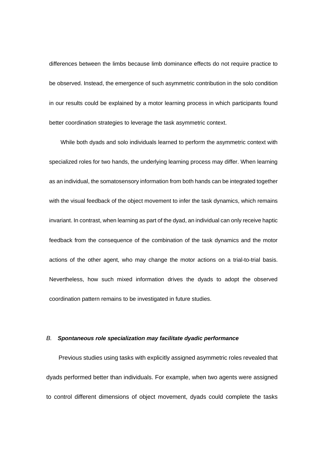differences between the limbs because limb dominance effects do not require practice to be observed. Instead, the emergence of such asymmetric contribution in the solo condition in our results could be explained by a motor learning process in which participants found better coordination strategies to leverage the task asymmetric context.

While both dyads and solo individuals learned to perform the asymmetric context with specialized roles for two hands, the underlying learning process may differ. When learning as an individual, the somatosensory information from both hands can be integrated together with the visual feedback of the object movement to infer the task dynamics, which remains invariant. In contrast, when learning as part of the dyad, an individual can only receive haptic feedback from the consequence of the combination of the task dynamics and the motor actions of the other agent, who may change the motor actions on a trial-to-trial basis. Nevertheless, how such mixed information drives the dyads to adopt the observed coordination pattern remains to be investigated in future studies.

## *B. Spontaneous role specialization may facilitate dyadic performance*

Previous studies using tasks with explicitly assigned asymmetric roles revealed that dyads performed better than individuals. For example, when two agents were assigned to control different dimensions of object movement, dyads could complete the tasks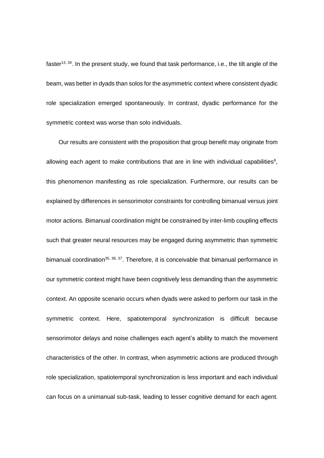faster<sup>13, 34</sup>. In the present study, we found that task performance, i.e., the tilt angle of the beam, was better in dyads than solos for the asymmetric context where consistent dyadic role specialization emerged spontaneously. In contrast, dyadic performance for the symmetric context was worse than solo individuals.

Our results are consistent with the proposition that group benefit may originate from allowing each agent to make contributions that are in line with individual capabilities<sup>6</sup>, this phenomenon manifesting as role specialization. Furthermore, our results can be explained by differences in sensorimotor constraints for controlling bimanual versus joint motor actions. Bimanual coordination might be constrained by inter-limb coupling effects such that greater neural resources may be engaged during asymmetric than symmetric bimanual coordination<sup>35, 36, 37</sup>. Therefore, it is conceivable that bimanual performance in our symmetric context might have been cognitively less demanding than the asymmetric context. An opposite scenario occurs when dyads were asked to perform our task in the symmetric context. Here, spatiotemporal synchronization is difficult because sensorimotor delays and noise challenges each agent's ability to match the movement characteristics of the other. In contrast, when asymmetric actions are produced through role specialization, spatiotemporal synchronization is less important and each individual can focus on a unimanual sub-task, leading to lesser cognitive demand for each agent.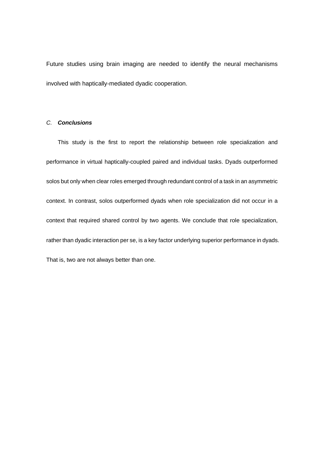Future studies using brain imaging are needed to identify the neural mechanisms involved with haptically-mediated dyadic cooperation.

# *C. Conclusions*

This study is the first to report the relationship between role specialization and performance in virtual haptically-coupled paired and individual tasks. Dyads outperformed solos but only when clear roles emerged through redundant control of a task in an asymmetric context. In contrast, solos outperformed dyads when role specialization did not occur in a context that required shared control by two agents. We conclude that role specialization, rather than dyadic interaction per se, is a key factor underlying superior performance in dyads. That is, two are not always better than one.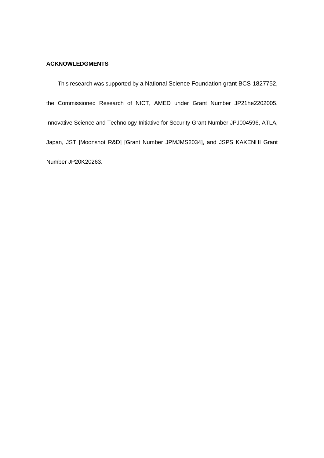# **ACKNOWLEDGMENTS**

This research was supported by a National Science Foundation grant BCS-1827752, the Commissioned Research of NICT, AMED under Grant Number JP21he2202005, Innovative Science and Technology Initiative for Security Grant Number JPJ004596, ATLA, Japan, JST [Moonshot R&D] [Grant Number JPMJMS2034], and JSPS KAKENHI Grant Number JP20K20263.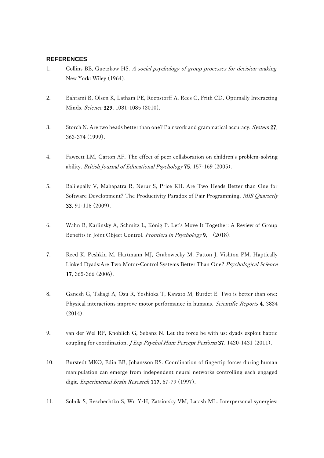# **REFERENCES**

- 1. Collins BE, Guetzkow HS. A social psychology of group processes for decision-making. New York: Wiley (1964).
- 2. Bahrami B, Olsen K, Latham PE, Roepstorff A, Rees G, Frith CD. Optimally Interacting Minds. Science 329, 1081-1085 (2010).
- 3. Storch N. Are two heads better than one? Pair work and grammatical accuracy. System 27, 363-374 (1999).
- 4. Fawcett LM, Garton AF. The effect of peer collaboration on children's problem-solving ability. British Journal of Educational Psychology 75, 157-169 (2005).
- 5. Balijepally V, Mahapatra R, Nerur S, Price KH. Are Two Heads Better than One for Software Development? The Productivity Paradox of Pair Programming. MIS Quarterly 33, 91-118 (2009).
- 6. Wahn B, Karlinsky A, Schmitz L, König P. Let's Move It Together: A Review of Group Benefits in Joint Object Control. Frontiers in Psychology 9, (2018).
- 7. Reed K, Peshkin M, Hartmann MJ, Grabowecky M, Patton J, Vishton PM. Haptically Linked Dyads:Are Two Motor-Control Systems Better Than One? Psychological Science 17, 365-366 (2006).
- 8. Ganesh G, Takagi A, Osu R, Yoshioka T, Kawato M, Burdet E. Two is better than one: Physical interactions improve motor performance in humans. Scientific Reports 4, 3824 (2014).
- 9. van der Wel RP, Knoblich G, Sebanz N. Let the force be with us: dyads exploit haptic coupling for coordination. *J Exp Psychol Hum Percept Perform* 37, 1420-1431 (2011).
- 10. Burstedt MKO, Edin BB, Johansson RS. Coordination of fingertip forces during human manipulation can emerge from independent neural networks controlling each engaged digit. Experimental Brain Research 117, 67-79 (1997).
- 11. Solnik S, Reschechtko S, Wu Y-H, Zatsiorsky VM, Latash ML. Interpersonal synergies: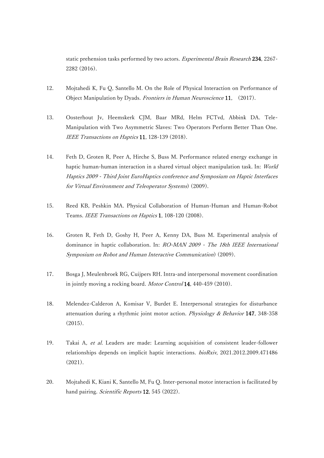static prehension tasks performed by two actors. Experimental Brain Research 234, 2267-2282 (2016).

- 12. Mojtahedi K, Fu Q, Santello M. On the Role of Physical Interaction on Performance of Object Manipulation by Dyads. Frontiers in Human Neuroscience 11, (2017).
- 13. Oosterhout Jv, Heemskerk CJM, Baar MRd, Helm FCTvd, Abbink DA. Tele-Manipulation with Two Asymmetric Slaves: Two Operators Perform Better Than One. IEEE Transactions on Haptics 11, 128-139 (2018).
- 14. Feth D, Groten R, Peer A, Hirche S, Buss M. Performance related energy exchange in haptic human-human interaction in a shared virtual object manipulation task. In: World Haptics 2009 - Third Joint EuroHaptics conference and Symposium on Haptic Interfaces for Virtual Environment and Teleoperator Systems) (2009).
- 15. Reed KB, Peshkin MA. Physical Collaboration of Human-Human and Human-Robot Teams. IEEE Transactions on Haptics 1, 108-120 (2008).
- 16. Groten R, Feth D, Goshy H, Peer A, Kenny DA, Buss M. Experimental analysis of dominance in haptic collaboration. In: RO-MAN 2009 - The 18th IEEE International Symposium on Robot and Human Interactive Communication) (2009).
- 17. Bosga J, Meulenbroek RG, Cuijpers RH. Intra-and interpersonal movement coordination in jointly moving a rocking board. Motor Control 14, 440-459 (2010).
- 18. Melendez-Calderon A, Komisar V, Burdet E. Interpersonal strategies for disturbance attenuation during a rhythmic joint motor action. Physiology & Behavior 147, 348-358 (2015).
- 19. Takai A, et al. Leaders are made: Learning acquisition of consistent leader-follower relationships depends on implicit haptic interactions. bioRxiv, 2021.2012.2009.471486 (2021).
- 20. Mojtahedi K, Kiani K, Santello M, Fu Q. Inter-personal motor interaction is facilitated by hand pairing. Scientific Reports 12, 545 (2022).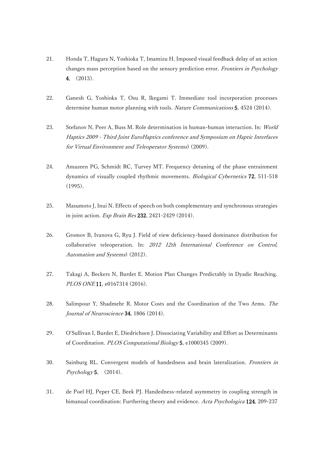- 21. Honda T, Hagura N, Yoshioka T, Imamizu H. Imposed visual feedback delay of an action changes mass perception based on the sensory prediction error. Frontiers in Psychology 4, (2013).
- 22. Ganesh G, Yoshioka T, Osu R, Ikegami T. Immediate tool incorporation processes determine human motor planning with tools. Nature Communications 5, 4524 (2014).
- 23. Stefanov N, Peer A, Buss M. Role determination in human-human interaction. In: World Haptics 2009 - Third Joint EuroHaptics conference and Symposium on Haptic Interfaces for Virtual Environment and Teleoperator Systems) (2009).
- 24. Amazeen PG, Schmidt RC, Turvey MT. Frequency detuning of the phase entrainment dynamics of visually coupled rhythmic movements. Biological Cybernetics 72, 511-518 (1995).
- 25. Masumoto J, Inui N. Effects of speech on both complementary and synchronous strategies in joint action. Exp Brain Res 232, 2421-2429 (2014).
- 26. Gromov B, Ivanova G, Ryu J. Field of view deficiency-based dominance distribution for collaborative teleoperation. In: 2012 12th International Conference on Control, Automation and Systems) (2012).
- 27. Takagi A, Beckers N, Burdet E. Motion Plan Changes Predictably in Dyadic Reaching. PLOS ONE 11, e0167314 (2016).
- 28. Salimpour Y, Shadmehr R. Motor Costs and the Coordination of the Two Arms. The Journal of Neuroscience 34, 1806 (2014).
- 29. O'Sullivan I, Burdet E, Diedrichsen J. Dissociating Variability and Effort as Determinants of Coordination. PLOS Computational Biology 5, e1000345 (2009).
- 30. Sainburg RL. Convergent models of handedness and brain lateralization. Frontiers in  $Psychology$ **5**, (2014).
- 31. de Poel HJ, Peper CE, Beek PJ. Handedness-related asymmetry in coupling strength in bimanual coordination: Furthering theory and evidence. Acta Psychologica 124, 209-237